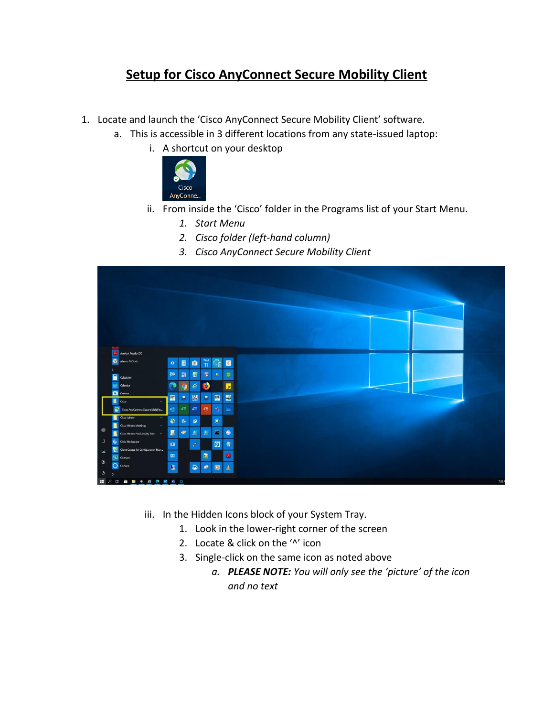## **Setup for Cisco AnyConnect Secure Mobility Client**

- 1. Locate and launch the 'Cisco AnyConnect Secure Mobility Client' software.
	- a. This is accessible in 3 different locations from any state-issued laptop:
		- i. A shortcut on your desktop



- ii. From inside the 'Cisco' folder in the Programs list of your Start Menu.
	- *1. Start Menu*
	- *2. Cisco folder (left-hand column)*
	- *3. Cisco AnyConnect Secure Mobility Client*



- iii. In the Hidden Icons block of your System Tray.
	- 1. Look in the lower-right corner of the screen
	- 2. Locate & click on the '^' icon
	- 3. Single-click on the same icon as noted above
		- *a. PLEASE NOTE: You will only see the 'picture' of the icon and no text*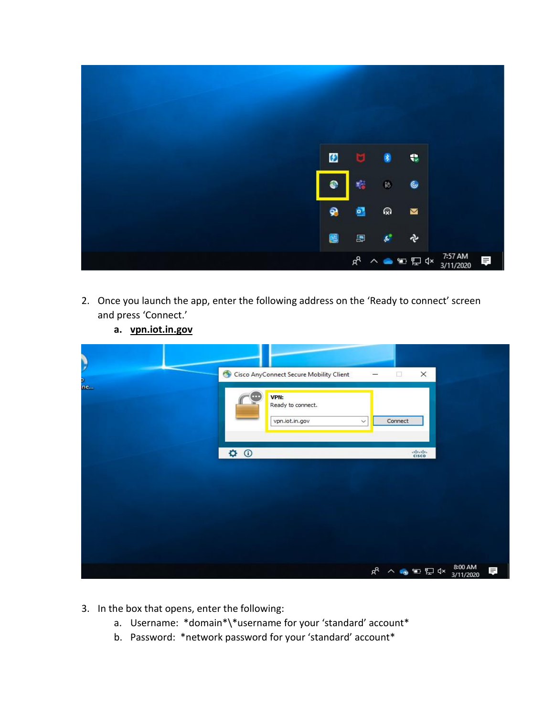

- 2. Once you launch the app, enter the following address on the 'Ready to connect' screen and press 'Connect.'
	- **a. vpn.iot.in.gov**

| Ņ<br>o.<br>ne | Cisco AnyConnect Secure Mobility Client<br>VPN:<br>m<br>Ready to connect.<br>vpn.iot.in.gov | $\Box$<br>×<br>Connect<br>$\checkmark$                 |
|---------------|---------------------------------------------------------------------------------------------|--------------------------------------------------------|
|               | $\phi$ $\odot$                                                                              | $\frac{1}{2}$                                          |
|               |                                                                                             |                                                        |
|               |                                                                                             | 8:00 AM<br>d <sup>R</sup> へ ● 雪 ロ dx<br>見<br>3/11/2020 |

- 3. In the box that opens, enter the following:
	- a. Username: \*domain\*\\*username for your 'standard' account\*
	- b. Password: \*network password for your 'standard' account\*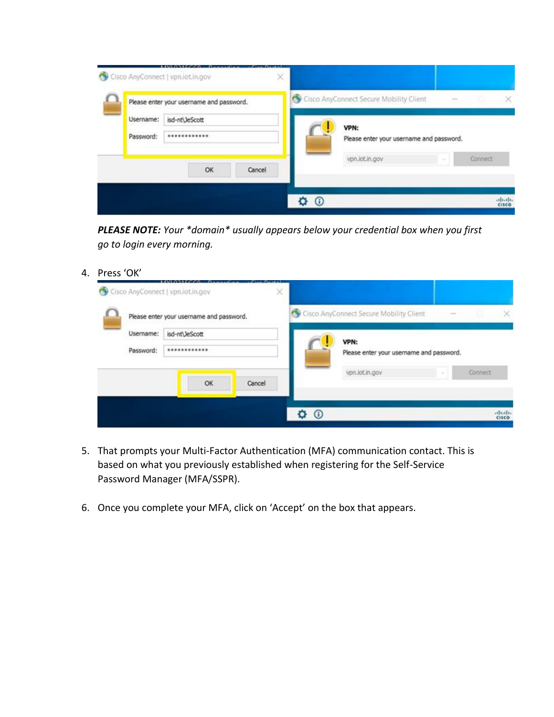|                        | Please enter your username and password. |        | Cisco AnyConnect Secure Mobility Client |                                                  |  |  |         | × |
|------------------------|------------------------------------------|--------|-----------------------------------------|--------------------------------------------------|--|--|---------|---|
| Username:<br>Password: | isd-nt\JeScott<br>                       |        |                                         | VPN:<br>Please enter your username and password. |  |  |         |   |
|                        | OK                                       | Cancel |                                         | vpn.iot.in.gov                                   |  |  | Connect |   |

*PLEASE NOTE: Your \*domain\* usually appears below your credential box when you first go to login every morning.*

4. Press 'OK'

|                                          | Cisco AnyConnect   vpn.iot.in.gov |        | × |                                         |                                                  |  |  |         |                        |  |
|------------------------------------------|-----------------------------------|--------|---|-----------------------------------------|--------------------------------------------------|--|--|---------|------------------------|--|
| Please enter your username and password. |                                   |        |   | Cisco AnyConnect Secure Mobility Client |                                                  |  |  |         |                        |  |
| Username:<br>Password:                   | isd-nt\JeScott<br>************    |        |   |                                         | VPN:<br>Please enter your username and password. |  |  |         |                        |  |
|                                          | OK                                | Cancel |   |                                         | vpn.iot.in.gov                                   |  |  | Connect |                        |  |
|                                          |                                   |        |   | $^\copyright$                           |                                                  |  |  |         | aboth.<br><b>CISCO</b> |  |

- 5. That prompts your Multi-Factor Authentication (MFA) communication contact. This is based on what you previously established when registering for the Self-Service Password Manager (MFA/SSPR).
- 6. Once you complete your MFA, click on 'Accept' on the box that appears.